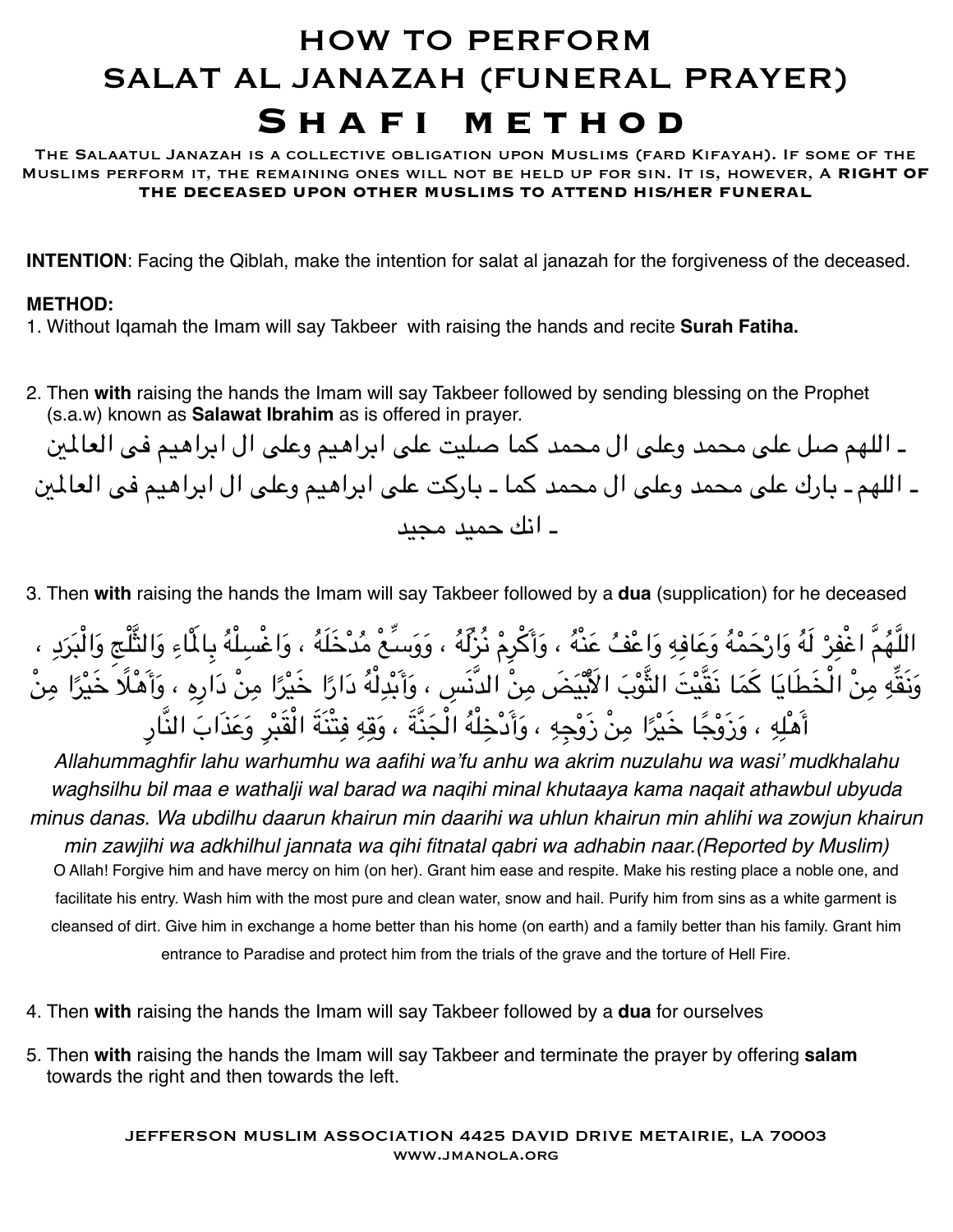## HOW TO PERFORM SALAT AL JANAZAH (FUNERAL PRAYER) **Shafi method**

The Salaatul Janazah is a collective obligation upon Muslims (fard Kifayah). If some of the Muslims perform it, the remaining ones will not be held up for sin. It is, however, A **RIGHT OF THE DECEASED UPON OTHER MUSLIMS TO ATTEND HIS/HER FUNERAL**

**INTENTION**: Facing the Qiblah, make the intention for salat al janazah for the forgiveness of the deceased.

## **METHOD:**

1. Without Iqamah the Imam will say Takbeer with raising the hands and recite **Surah Fatiha.**

2. Then **with** raising the hands the Imam will say Takbeer followed by sending blessing on the Prophet (s.a.w) known as **Salawat Ibrahim** as is offered in prayer.

ـ اللهم صل على محمد وعلى ال محمد كما صليت على ابراهيم وعلى ال ابراهيم فى العالي ـ اللهم ـ بارك على محمد وعلى ال محمد كما ـ باركت على ابراهيم وعلى ال ابراهيم فى العالي ـ انك حميد مجيد

3. Then **with** raising the hands the Imam will say Takbeer followed by a **dua** (supplication) for he deceased

اللَّهُمَّ اغْفِرْ لَهُ وَارْحَمْهُ وَعَافِهِ وَاعْفُ عَنْهُ ، وَأَكْرِمْ نُزِلَّهُ ، وَوَسَّعْ مُدْخَلَهُ ، وَاغْسِلْهُ بِالْمَاءِ وَالثَّلْجِ وَالْبَرَدِ ، ِِٔ<br>ا وَنَقِّهِ مِنْ الْخَطَايَا كَمَا نَقَّيْتَ الثُّوْبَ الْأَبْيَضَ مِنْ الدَّنَسِ ، وَأَبْدِلْهُ دَارًا خَيْرًا مِنْ دَارِهِ ، وَأَهْلًا خَيْرًا مِنْ ً ِأَهْلِهِ ، وَزَوْجًا خَيْرًا مِنْ زَوْجِهِ ، وَأَدْخِلْهُ الْجَنَّةَ ، وَقِهِ فِتْنَةَ الْقَبْرِ وَعَذَابَ النَّارِ ِِ֧֖֖֖֖֖֚֚֚֚֚֚֚֚֚֚֚֝<br>֧֚֚֚֚֚֚֚֚֚֚֚֚֚֚֚֚֝<br>֧֚֚֝ ِ

*Allahummaghfir lahu warhumhu wa aafihi wa'fu anhu wa akrim nuzulahu wa wasi' mudkhalahu waghsilhu bil maa e wathalji wal barad wa naqihi minal khutaaya kama naqait athawbul ubyuda minus danas. Wa ubdilhu daarun khairun min daarihi wa uhlun khairun min ahlihi wa zowjun khairun min zawjihi wa adkhilhul jannata wa qihi fitnatal qabri wa adhabin naar.(Reported by Muslim)* O Allah! Forgive him and have mercy on him (on her). Grant him ease and respite. Make his resting place a noble one, and facilitate his entry. Wash him with the most pure and clean water, snow and hail. Purify him from sins as a white garment is cleansed of dirt. Give him in exchange a home better than his home (on earth) and a family better than his family. Grant him entrance to Paradise and protect him from the trials of the grave and the torture of Hell Fire.

- 4. Then **with** raising the hands the Imam will say Takbeer followed by a **dua** for ourselves
- 5. Then **with** raising the hands the Imam will say Takbeer and terminate the prayer by offering **salam** towards the right and then towards the left.

JEFFERSON MUSLIM ASSOCIATION 4425 DAVID DRIVE METAIRIE, LA 70003 [www.jmanola.org](http://www.jmanola.org)